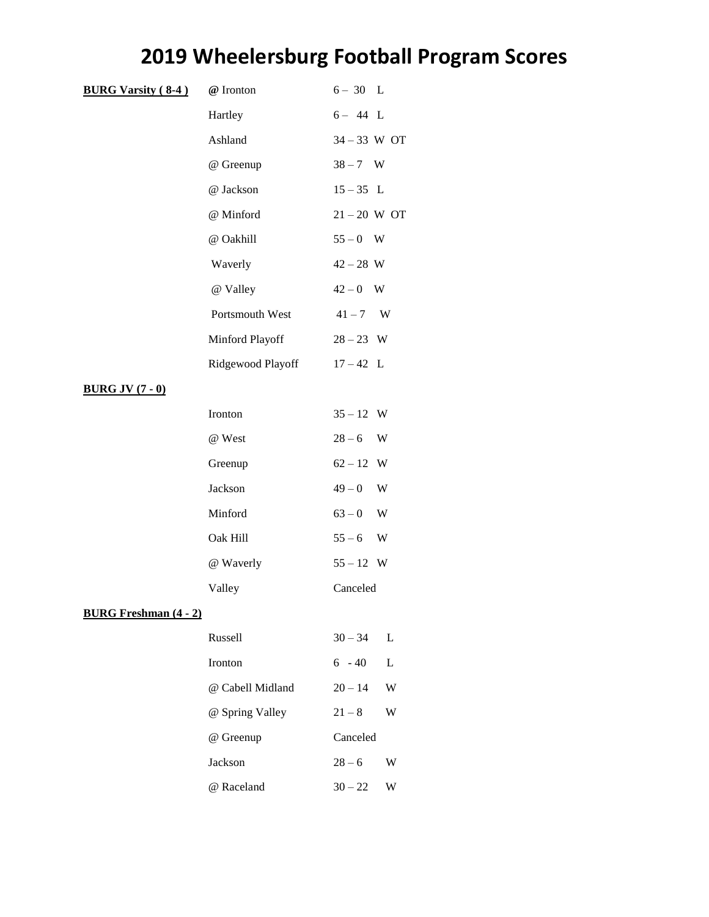## **2019 Wheelersburg Football Program Scores**

| <b>BURG Varsity (8-4)</b>    | $@$ Ironton       | $6-30$ L       |
|------------------------------|-------------------|----------------|
|                              | Hartley           | $6 - 44$ L     |
|                              | Ashland           | $34 - 33$ W OT |
|                              | @ Greenup         | $38 - 7$ W     |
|                              | @ Jackson         | $15 - 35$ L    |
|                              | @ Minford         | $21 - 20$ W OT |
|                              | @ Oakhill         | $55 - 0$ W     |
|                              | Waverly           | $42 - 28$ W    |
|                              | @ Valley          | $42-0$ W       |
|                              | Portsmouth West   | $41 - 7$ W     |
|                              | Minford Playoff   | $28 - 23$ W    |
|                              | Ridgewood Playoff | $17 - 42$ L    |
| <b>BURG JV (7 - 0)</b>       |                   |                |
|                              | Ironton           | $35 - 12$ W    |
|                              | @ West            | $28 - 6$<br>W  |
|                              | Greenup           | $62 - 12$ W    |
|                              | Jackson           | $49 - 0$<br>W  |
|                              | Minford           | $63 - 0$<br>W  |
|                              | Oak Hill          | $55 - 6$<br>W  |
|                              | @ Waverly         | $55 - 12$ W    |
|                              | Valley            | Canceled       |
| <b>BURG Freshman (4 - 2)</b> |                   |                |
|                              | Russell           | $30 - 34$<br>L |
|                              | Ironton           | $6 - 40$<br>L  |
|                              | @ Cabell Midland  | $20 - 14$<br>W |
|                              | @ Spring Valley   | $21 - 8$<br>W  |
|                              | @ Greenup         | Canceled       |
|                              | Jackson           | $28 - 6$<br>W  |
|                              | @ Raceland        | $30 - 22$<br>W |